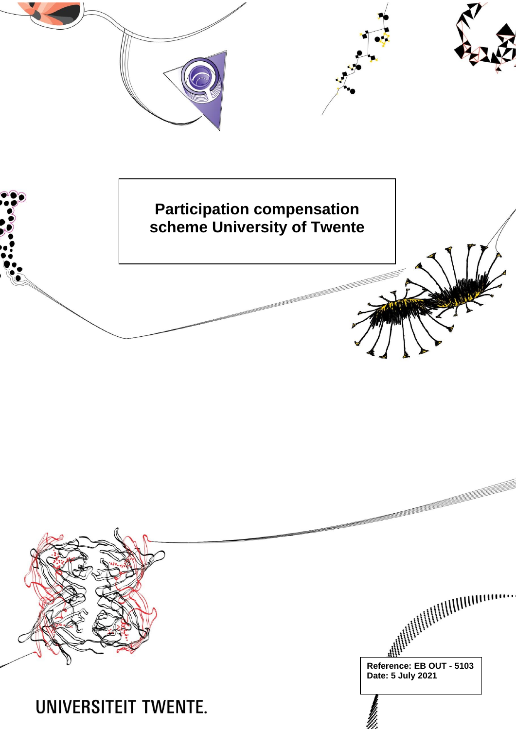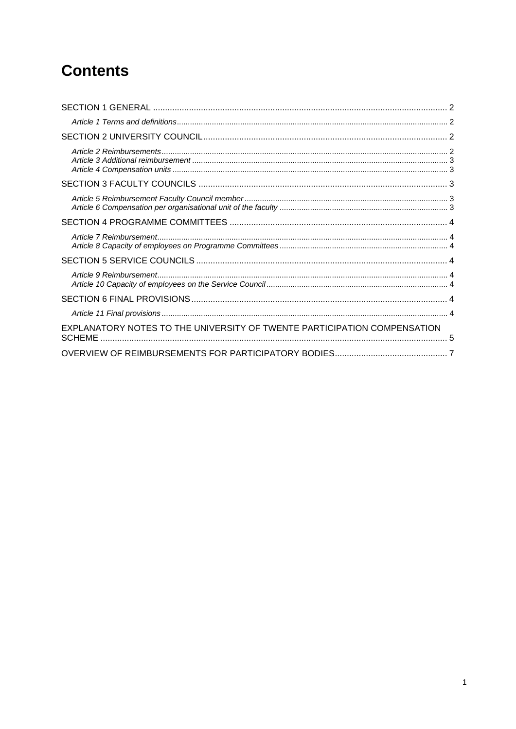# **Contents**

| EXPLANATORY NOTES TO THE UNIVERSITY OF TWENTE PARTICIPATION COMPENSATION<br><b>SCHEME</b> |  |
|-------------------------------------------------------------------------------------------|--|
|                                                                                           |  |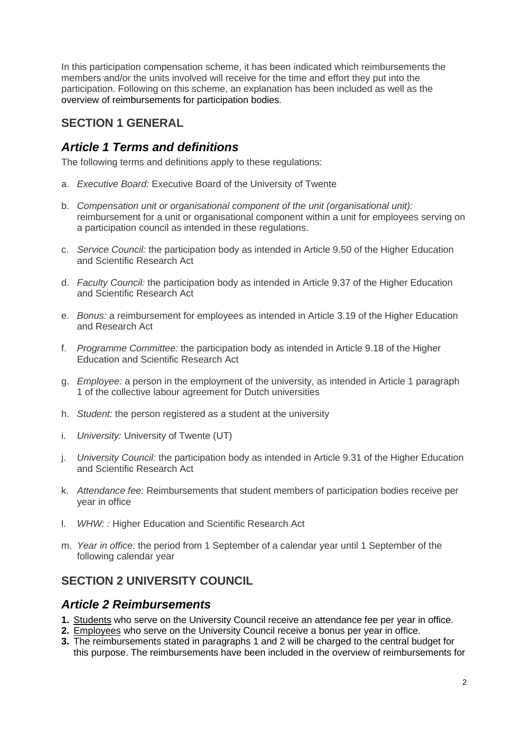In this participation compensation scheme, it has been indicated which reimbursements the members and/or the units involved will receive for the time and effort they put into the participation. Following on this scheme, an explanation has been included as well as the overview of reimbursements for participation bodies.

# <span id="page-2-0"></span>**SECTION 1 GENERAL**

## <span id="page-2-1"></span>*Article 1 Terms and definitions*

The following terms and definitions apply to these regulations:

- a. *Executive Board:* Executive Board of the University of Twente
- b. *Compensation unit or organisational component of the unit (organisational unit):*  reimbursement for a unit or organisational component within a unit for employees serving on a participation council as intended in these regulations.
- c. *Service Council:* the participation body as intended in Article 9.50 of the Higher Education and Scientific Research Act
- d. *Faculty Council:* the participation body as intended in Article 9.37 of the Higher Education and Scientific Research Act
- e. *Bonus:* a reimbursement for employees as intended in Article 3.19 of the Higher Education and Research Act
- f. *Programme Committee:* the participation body as intended in Article 9.18 of the Higher Education and Scientific Research Act
- g. *Employee:* a person in the employment of the university, as intended in Article 1 paragraph 1 of the collective labour agreement for Dutch universities
- h. *Student:* the person registered as a student at the university
- i. *University:* University of Twente (UT)
- j. *University Council:* the participation body as intended in Article 9.31 of the Higher Education and Scientific Research Act
- k. *Attendance fee:* Reimbursements that student members of participation bodies receive per year in office
- l. *WHW: :* Higher Education and Scientific Research Act
- m. *Year in office:* the period from 1 September of a calendar year until 1 September of the following calendar year

# <span id="page-2-2"></span>**SECTION 2 UNIVERSITY COUNCIL**

### <span id="page-2-3"></span>*Article 2 Reimbursements*

- **1.** Students who serve on the University Council receive an attendance fee per year in office.
- **2.** Employees who serve on the University Council receive a bonus per year in office.
- **3.** The reimbursements stated in paragraphs 1 and 2 will be charged to the central budget for this purpose. The reimbursements have been included in the overview of reimbursements for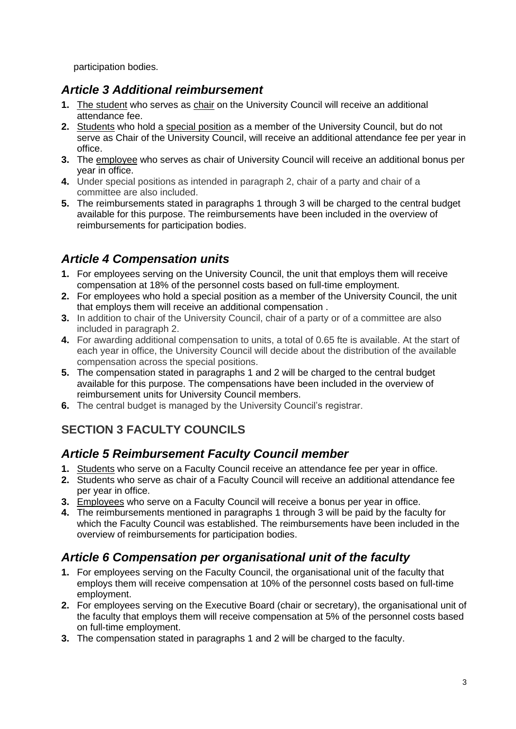participation bodies.

### <span id="page-3-0"></span>*Article 3 Additional reimbursement*

- **1.** The student who serves as chair on the University Council will receive an additional attendance fee.
- **2.** Students who hold a special position as a member of the University Council, but do not serve as Chair of the University Council, will receive an additional attendance fee per year in office.
- **3.** The employee who serves as chair of University Council will receive an additional bonus per year in office.
- **4.** Under special positions as intended in paragraph 2, chair of a party and chair of a committee are also included.
- **5.** The reimbursements stated in paragraphs 1 through 3 will be charged to the central budget available for this purpose. The reimbursements have been included in the overview of reimbursements for participation bodies.

# <span id="page-3-1"></span>*Article 4 Compensation units*

- **1.** For employees serving on the University Council, the unit that employs them will receive compensation at 18% of the personnel costs based on full-time employment.
- **2.** For employees who hold a special position as a member of the University Council, the unit that employs them will receive an additional compensation .
- **3.** In addition to chair of the University Council, chair of a party or of a committee are also included in paragraph 2.
- **4.** For awarding additional compensation to units, a total of 0.65 fte is available. At the start of each year in office, the University Council will decide about the distribution of the available compensation across the special positions.
- **5.** The compensation stated in paragraphs 1 and 2 will be charged to the central budget available for this purpose. The compensations have been included in the overview of reimbursement units for University Council members.
- **6.** The central budget is managed by the University Council's registrar.

# <span id="page-3-2"></span>**SECTION 3 FACULTY COUNCILS**

### <span id="page-3-3"></span>*Article 5 Reimbursement Faculty Council member*

- **1.** Students who serve on a Faculty Council receive an attendance fee per year in office.
- **2.** Students who serve as chair of a Faculty Council will receive an additional attendance fee per year in office.
- **3.** Employees who serve on a Faculty Council will receive a bonus per year in office.
- **4.** The reimbursements mentioned in paragraphs 1 through 3 will be paid by the faculty for which the Faculty Council was established. The reimbursements have been included in the overview of reimbursements for participation bodies.

# <span id="page-3-4"></span>*Article 6 Compensation per organisational unit of the faculty*

- **1.** For employees serving on the Faculty Council, the organisational unit of the faculty that employs them will receive compensation at 10% of the personnel costs based on full-time employment.
- **2.** For employees serving on the Executive Board (chair or secretary), the organisational unit of the faculty that employs them will receive compensation at 5% of the personnel costs based on full-time employment.
- **3.** The compensation stated in paragraphs 1 and 2 will be charged to the faculty.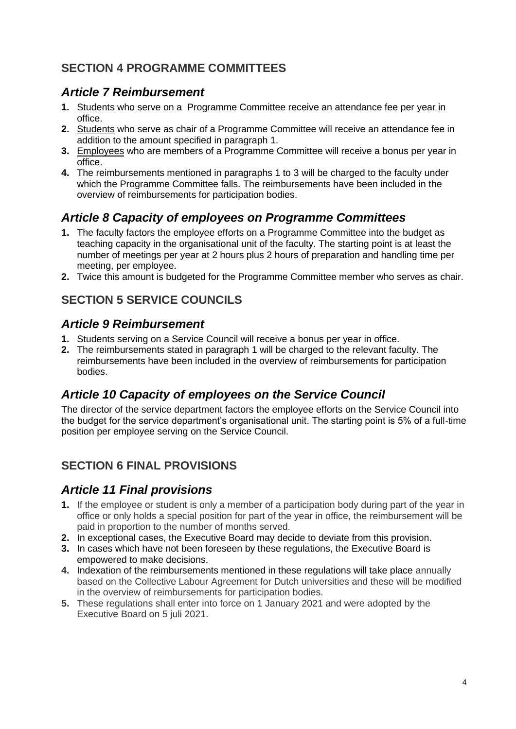# <span id="page-4-0"></span>**SECTION 4 PROGRAMME COMMITTEES**

## <span id="page-4-1"></span>*Article 7 Reimbursement*

- **1.** Students who serve on a Programme Committee receive an attendance fee per year in office.
- **2.** Students who serve as chair of a Programme Committee will receive an attendance fee in addition to the amount specified in paragraph 1.
- **3.** Employees who are members of a Programme Committee will receive a bonus per year in office.
- **4.** The reimbursements mentioned in paragraphs 1 to 3 will be charged to the faculty under which the Programme Committee falls. The reimbursements have been included in the overview of reimbursements for participation bodies.

# <span id="page-4-2"></span>*Article 8 Capacity of employees on Programme Committees*

- **1.** The faculty factors the employee efforts on a Programme Committee into the budget as teaching capacity in the organisational unit of the faculty. The starting point is at least the number of meetings per year at 2 hours plus 2 hours of preparation and handling time per meeting, per employee.
- **2.** Twice this amount is budgeted for the Programme Committee member who serves as chair.

# <span id="page-4-3"></span>**SECTION 5 SERVICE COUNCILS**

### <span id="page-4-4"></span>*Article 9 Reimbursement*

- **1.** Students serving on a Service Council will receive a bonus per year in office.
- **2.** The reimbursements stated in paragraph 1 will be charged to the relevant faculty. The reimbursements have been included in the overview of reimbursements for participation bodies.

# <span id="page-4-5"></span>*Article 10 Capacity of employees on the Service Council*

The director of the service department factors the employee efforts on the Service Council into the budget for the service department's organisational unit. The starting point is 5% of a full-time position per employee serving on the Service Council.

# <span id="page-4-6"></span>**SECTION 6 FINAL PROVISIONS**

### <span id="page-4-7"></span>*Article 11 Final provisions*

- **1.** If the employee or student is only a member of a participation body during part of the year in office or only holds a special position for part of the year in office, the reimbursement will be paid in proportion to the number of months served.
- **2.** In exceptional cases, the Executive Board may decide to deviate from this provision.
- **3.** In cases which have not been foreseen by these regulations, the Executive Board is empowered to make decisions.
- **4.** Indexation of the reimbursements mentioned in these regulations will take place annually based on the Collective Labour Agreement for Dutch universities and these will be modified in the overview of reimbursements for participation bodies.
- **5.** These regulations shall enter into force on 1 January 2021 and were adopted by the Executive Board on 5 juli 2021.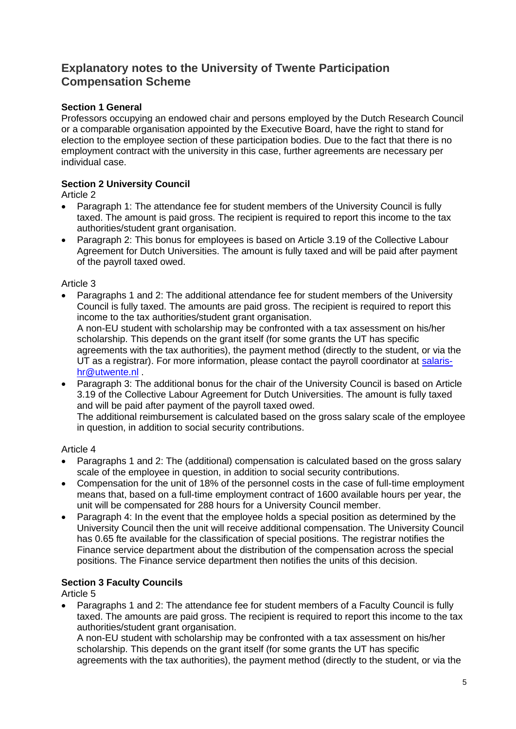### <span id="page-5-0"></span>**Explanatory notes to the University of Twente Participation Compensation Scheme**

### **Section 1 General**

Professors occupying an endowed chair and persons employed by the Dutch Research Council or a comparable organisation appointed by the Executive Board, have the right to stand for election to the employee section of these participation bodies. Due to the fact that there is no employment contract with the university in this case, further agreements are necessary per individual case.

### **Section 2 University Council**

Article 2

- Paragraph 1: The attendance fee for student members of the University Council is fully taxed. The amount is paid gross. The recipient is required to report this income to the tax authorities/student grant organisation.
- Paragraph 2: This bonus for employees is based on Article 3.19 of the Collective Labour Agreement for Dutch Universities. The amount is fully taxed and will be paid after payment of the payroll taxed owed.

#### Article 3

- Paragraphs 1 and 2: The additional attendance fee for student members of the University Council is fully taxed. The amounts are paid gross. The recipient is required to report this income to the tax authorities/student grant organisation. A non-EU student with scholarship may be confronted with a tax assessment on his/her scholarship. This depends on the grant itself (for some grants the UT has specific agreements with the tax authorities), the payment method (directly to the student, or via the UT as a registrar). For more information, please contact the payroll coordinator at [salaris](mailto:salaris-hr@utwente.nl)[hr@utwente.nl](mailto:salaris-hr@utwente.nl) .
- Paragraph 3: The additional bonus for the chair of the University Council is based on Article 3.19 of the Collective Labour Agreement for Dutch Universities. The amount is fully taxed and will be paid after payment of the payroll taxed owed.

The additional reimbursement is calculated based on the gross salary scale of the employee in question, in addition to social security contributions.

#### Article 4

- Paragraphs 1 and 2: The (additional) compensation is calculated based on the gross salary scale of the employee in question, in addition to social security contributions.
- Compensation for the unit of 18% of the personnel costs in the case of full-time employment means that, based on a full-time employment contract of 1600 available hours per year, the unit will be compensated for 288 hours for a University Council member.
- Paragraph 4: In the event that the employee holds a special position as determined by the University Council then the unit will receive additional compensation. The University Council has 0.65 fte available for the classification of special positions. The registrar notifies the Finance service department about the distribution of the compensation across the special positions. The Finance service department then notifies the units of this decision.

#### **Section 3 Faculty Councils**

Article 5

• Paragraphs 1 and 2: The attendance fee for student members of a Faculty Council is fully taxed. The amounts are paid gross. The recipient is required to report this income to the tax authorities/student grant organisation.

A non-EU student with scholarship may be confronted with a tax assessment on his/her scholarship. This depends on the grant itself (for some grants the UT has specific agreements with the tax authorities), the payment method (directly to the student, or via the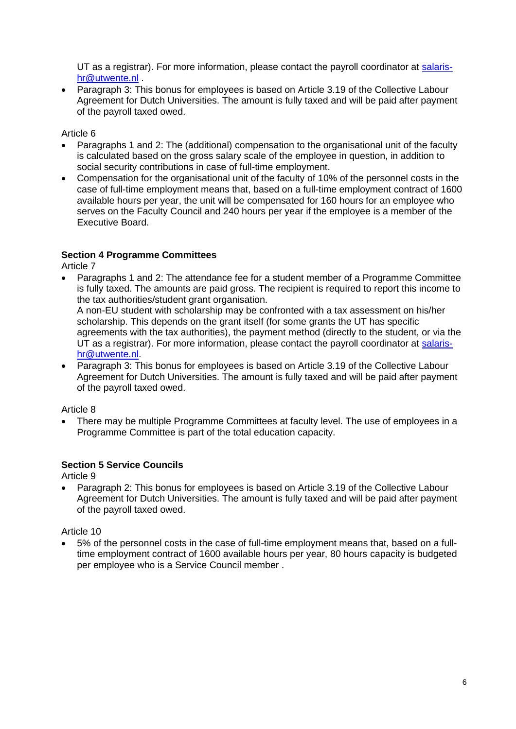UT as a registrar). For more information, please contact the payroll coordinator at [salaris](mailto:salaris-hr@utwente.nl)[hr@utwente.nl](mailto:salaris-hr@utwente.nl) .

• Paragraph 3: This bonus for employees is based on Article 3.19 of the Collective Labour Agreement for Dutch Universities. The amount is fully taxed and will be paid after payment of the payroll taxed owed.

Article 6

- Paragraphs 1 and 2: The (additional) compensation to the organisational unit of the faculty is calculated based on the gross salary scale of the employee in question, in addition to social security contributions in case of full-time employment.
- Compensation for the organisational unit of the faculty of 10% of the personnel costs in the case of full-time employment means that, based on a full-time employment contract of 1600 available hours per year, the unit will be compensated for 160 hours for an employee who serves on the Faculty Council and 240 hours per year if the employee is a member of the Executive Board.

#### **Section 4 Programme Committees**

Article 7

• Paragraphs 1 and 2: The attendance fee for a student member of a Programme Committee is fully taxed. The amounts are paid gross. The recipient is required to report this income to the tax authorities/student grant organisation.

A non-EU student with scholarship may be confronted with a tax assessment on his/her scholarship. This depends on the grant itself (for some grants the UT has specific agreements with the tax authorities), the payment method (directly to the student, or via the UT as a registrar). For more information, please contact the payroll coordinator at [salaris](mailto:salaris-hr@utwente.nl)[hr@utwente.nl.](mailto:salaris-hr@utwente.nl)

• Paragraph 3: This bonus for employees is based on Article 3.19 of the Collective Labour Agreement for Dutch Universities. The amount is fully taxed and will be paid after payment of the payroll taxed owed.

Article 8

• There may be multiple Programme Committees at faculty level. The use of employees in a Programme Committee is part of the total education capacity.

#### **Section 5 Service Councils**

Article 9

• Paragraph 2: This bonus for employees is based on Article 3.19 of the Collective Labour Agreement for Dutch Universities. The amount is fully taxed and will be paid after payment of the payroll taxed owed.

Article 10

• 5% of the personnel costs in the case of full-time employment means that, based on a fulltime employment contract of 1600 available hours per year, 80 hours capacity is budgeted per employee who is a Service Council member .